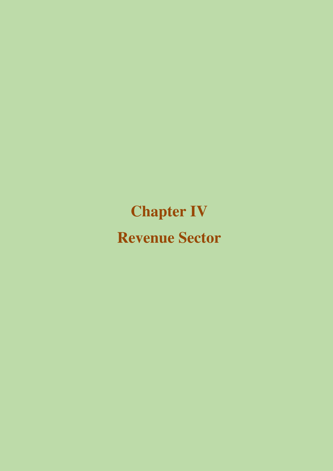# **Chapter IV Revenue Sector**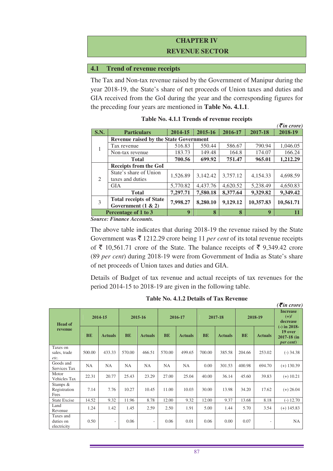## **CHAPTER IV REVENUE SECTOR**

#### **4.1 Trend of revenue receipts**

The Tax and Non-tax revenue raised by the Government of Manipur during the year 2018-19, the State's share of net proceeds of Union taxes and duties and GIA received from the GoI during the year and the corresponding figures for the preceding four years are mentioned in **Table No. 4.1.1**.

|                             |                                                         |          |          |          |           | $\langle \bar{z}$ in crore) |  |  |  |
|-----------------------------|---------------------------------------------------------|----------|----------|----------|-----------|-----------------------------|--|--|--|
| <b>S.N.</b>                 | <b>Particulars</b>                                      | 2014-15  | 2015-16  | 2016-17  | 2017-18   | 2018-19                     |  |  |  |
|                             | <b>Revenue raised by the State Government</b>           |          |          |          |           |                             |  |  |  |
| 1                           | Tax revenue                                             | 516.83   | 550.44   | 586.67   | 790.94    | 1,046.05                    |  |  |  |
|                             | Non-tax revenue                                         | 183.73   | 149.48   | 164.8    | 174.07    | 166.24                      |  |  |  |
|                             | <b>Total</b>                                            | 700.56   | 699.92   | 751.47   | 965.01    | 1,212.29                    |  |  |  |
|                             | <b>Receipts from the GoI</b>                            |          |          |          |           |                             |  |  |  |
| $\mathcal{D}_{\mathcal{L}}$ | State's share of Union<br>taxes and duties              | 1,526.89 | 3,142.42 | 3,757.12 | 4,154.33  | 4,698.59                    |  |  |  |
|                             | <b>GIA</b>                                              | 5,770.82 | 4.437.76 | 4.620.52 | 5.238.49  | 4,650.83                    |  |  |  |
|                             | <b>Total</b>                                            | 7,297.71 | 7,580.18 | 8,377.64 | 9,329.82  | 9,349.42                    |  |  |  |
| 3                           | <b>Total receipts of State</b><br>Government $(1 \& 2)$ | 7,998.27 | 8,280.10 | 9,129.12 | 10,357.83 | 10,561.71                   |  |  |  |
|                             | Percentage of 1 to 3                                    | 9        | 8        | 8        | 9         | 11                          |  |  |  |

| Table No. 4.1.1 Trends of revenue receipts |  |  |  |
|--------------------------------------------|--|--|--|
|--------------------------------------------|--|--|--|

*Source: Finance Accounts.* 

The above table indicates that during 2018-19 the revenue raised by the State Government was  $\bar{\tau}$  1212.29 crore being 11 *per cent* of its total revenue receipts of  $\bar{\tau}$  10,561.71 crore of the State. The balance receipts of  $\bar{\tau}$  9,349.42 crore (89 *per cent*) during 2018-19 were from Government of India as State's share of net proceeds of Union taxes and duties and GIA.

Details of Budget of tax revenue and actual receipts of tax revenues for the period 2014-15 to 2018-19 are given in the following table.

|                                       |           |                |           |                          |           |                |           |                |           |                          | $\overline{\mathcal{E}}$ in crore)                          |  |
|---------------------------------------|-----------|----------------|-----------|--------------------------|-----------|----------------|-----------|----------------|-----------|--------------------------|-------------------------------------------------------------|--|
| <b>Head of</b>                        |           | 2014-15        | 2015-16   |                          | 2016-17   |                | 2017-18   |                |           | 2018-19                  | <b>Increase</b><br>$(+)/$<br>decrease                       |  |
| revenue                               | <b>BE</b> | <b>Actuals</b> | <b>BE</b> | <b>Actuals</b>           | <b>BE</b> | <b>Actuals</b> | <b>BE</b> | <b>Actuals</b> | <b>BE</b> | <b>Actuals</b>           | (-) in 2018-<br>19 over<br>2017-18 (in<br><i>per cent</i> ) |  |
| Taxes on<br>sales, trade<br>etc.      | 500.00    | 433.33         | 570.00    | 466.51                   | 570.00    | 499.65         | 700.00    | 385.58         | 204.66    | 253.02                   | $(-)$ 34.38                                                 |  |
| Goods and<br>Services Tax             | NA        | NA             | NA        | NA                       | NA        | NA             | 0.00      | 301.53         | 400.98    | 694.70                   | $(+)$ 130.39                                                |  |
| Motor<br>Vehicles Tax                 | 22.31     | 20.77          | 25.43     | 23.29                    | 27.00     | 25.04          | 40.00     | 36.14          | 45.60     | 39.83                    | $(+)$ 10.21                                                 |  |
| Stamps &<br>Registration<br>Fees      | 7.14      | 7.76           | 10.27     | 10.45                    | 11.00     | 10.03          | 30.00     | 13.98          | 34.20     | 17.62                    | $(+) 26.04$                                                 |  |
| <b>State Excise</b>                   | 14.52     | 9.32           | 11.96     | 8.78                     | 12.00     | 9.32           | 12.00     | 9.37           | 13.68     | 8.18                     | $(-) 12.70$                                                 |  |
| Land<br>Revenue                       | 1.24      | 1.42           | 1.45      | 2.59                     | 2.50      | 1.91           | 5.00      | 1.44           | 5.70      | 3.54                     | $(+)$ 145.83                                                |  |
| Taxes and<br>duties on<br>electricity | 0.50      | -              | 0.06      | $\overline{\phantom{a}}$ | 0.06      | 0.01           | 0.06      | 0.00           | 0.07      | $\overline{\phantom{a}}$ | NA                                                          |  |

**Table No. 4.1.2 Details of Tax Revenue**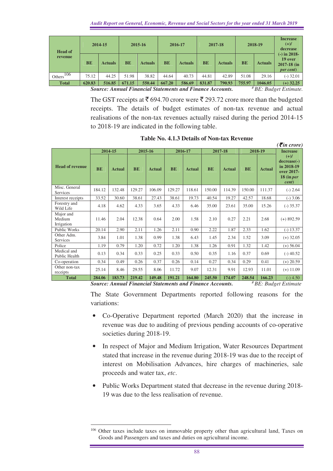| <b>Head of</b> |           | 2014-15        |           | 2015-16                                                  |           | 2016-17        |           | 2017-18        |           | 2018-19        | <b>Increase</b><br>$(+)/$<br>decrease<br>$(-)$ in 2018-           |
|----------------|-----------|----------------|-----------|----------------------------------------------------------|-----------|----------------|-----------|----------------|-----------|----------------|-------------------------------------------------------------------|
| revenue        | <b>BE</b> | <b>Actuals</b> | <b>BE</b> | <b>Actuals</b>                                           | <b>BE</b> | <b>Actuals</b> | <b>BE</b> | <b>Actuals</b> | <b>BE</b> | <b>Actuals</b> | 19 over<br>2017-18 (in<br><i>per cent</i> )                       |
| 106<br>Others  | 75.12     | 44.25          | 51.98     | 38.82                                                    | 44.64     | 40.73          | 44.81     | 42.89          | 51.08     | 29.16          | $(-)$ 32.01                                                       |
| <b>Total</b>   | 620.83    | 516.85         | 671.15    | 550.44                                                   | 667.20    | 586.69         | 831.87    | 790.93         | 755.97    | 1046.05        | $(+)$ 32.25                                                       |
|                |           |                |           | Corneo Annual Eingeolal Chatomorta and Eingenee Accounts |           |                |           |                |           |                | $# \, \mathbf{D} E$ , $\mathbf{D} \ldots$ de at $E$ at $m \geq 1$ |

*Source: Annual Financial Statements and Finance Accounts. # BE: Budget Estimate.*

The GST receipts at  $\bar{\xi}$  694.70 crore were  $\bar{\xi}$  293.72 crore more than the budgeted receipts. The details of budget estimates of non-tax revenue and actual realisations of the non-tax revenues actually raised during the period 2014-15 to 2018-19 are indicated in the following table.

| $\mathcal{L}$ in crore,           |           |               |           |               |           |               |           |               |           |               |                                                                              |
|-----------------------------------|-----------|---------------|-----------|---------------|-----------|---------------|-----------|---------------|-----------|---------------|------------------------------------------------------------------------------|
|                                   |           | 2014-15       |           | 2015-16       |           | 2016-17       |           | 2017-18       |           | 2018-19       | <b>Increase</b>                                                              |
| <b>Head of revenue</b>            | <b>BE</b> | <b>Actual</b> | <b>BE</b> | <b>Actual</b> | <b>BE</b> | <b>Actual</b> | <b>BE</b> | <b>Actual</b> | <b>BE</b> | <b>Actual</b> | $(+)/$<br>$decrease(-)$<br>in 2018-19<br>over 2017-<br>$18$ (in per<br>cent) |
| Misc. General<br>Services         | 184.12    | 132.48        | 129.27    | 106.09        | 129.27    | 118.61        | 150.00    | 114.39        | 150.00    | 111.37        | $(-) 2.64$                                                                   |
| Interest receipts                 | 33.52     | 30.60         | 38.61     | 27.43         | 38.61     | 19.73         | 40.54     | 19.27         | 42.57     | 18.68         | $(-)$ 3.06                                                                   |
| Forestry and<br>Wild Life         | 4.18      | 4.62          | 4.33      | 3.65          | 4.33      | 6.46          | 35.00     | 23.61         | 35.00     | 15.26         | $(-)$ 35.37                                                                  |
| Major and<br>Medium<br>Irrigation | 11.46     | 2.04          | 12.38     | 0.64          | 2.00      | 1.58          | 2.10      | 0.27          | 2.21      | 2.68          | $(+)$ 892.59                                                                 |
| Public Works                      | 20.14     | 2.90          | 2.11      | 1.26          | 2.11      | 0.90          | 2.22      | 1.87          | 2.33      | 1.62          | $(-) 13.37$                                                                  |
| Other Adm.<br>Services            | 3.84      | 1.01          | 1.38      | 0.99          | 1.38      | 6.43          | 1.45      | 2.34          | 1.52      | 3.09          | $(+)$ 32.05                                                                  |
| Police                            | 1.19      | 0.79          | 1.20      | 0.72          | 1.20      | 1.38          | 1.26      | 0.91          | 1.32      | 1.42          | $(+)$ 56.04                                                                  |
| Medical and<br>Public Health      | 0.13      | 0.34          | 0.33      | 0.25          | 0.33      | 0.50          | 0.35      | 1.16          | 0.37      | 0.69          | $(-)$ 40.52                                                                  |
| Co-operation                      | 0.34      | 0.49          | 0.26      | 0.37          | 0.26      | 0.14          | 0.27      | 0.34          | 0.29      | 0.41          | $(+)$ 20.59                                                                  |
| Other non-tax<br>receipts         | 25.14     | 8.46          | 29.55     | 8.06          | 11.72     | 9.07          | 12.31     | 9.91          | 12.93     | 11.01         | $(+)$ 11.09                                                                  |
| <b>Total</b>                      | 284.06    | 183.73        | 219.42    | 149.48        | 191.21    | 164.80        | 245.50    | 174.07        | 248.54    | 166.23        | $(-)$ 4.50                                                                   |

**Table No. 4.1.3 Details of Non-tax Revenue** 

 $(\vec{F}$ *in crore*)

*Source: Annual Financial Statements and Finance Accounts. # BE: Budget Estimate* 

The State Government Departments reported following reasons for the variations:

- Co-Operative Department reported (March 2020) that the increase in revenue was due to auditing of previous pending accounts of co-operative societies during 2018-19.
- In respect of Major and Medium Irrigation, Water Resources Department stated that increase in the revenue during 2018-19 was due to the receipt of interest on Mobilisation Advances, hire charges of machineries, sale proceeds and water tax, *etc*.
- Public Works Department stated that decrease in the revenue during 2018- 19 was due to the less realisation of revenue.

 $\overline{a}$ <sup>106</sup> Other taxes include taxes on immovable property other than agricultural land, Taxes on Goods and Passengers and taxes and duties on agricultural income.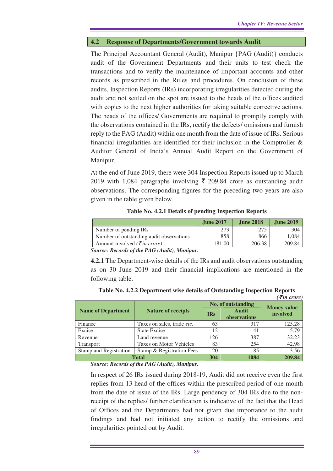#### **4.2 Response of Departments/Government towards Audit**

The Principal Accountant General (Audit), Manipur {PAG (Audit)} conducts audit of the Government Departments and their units to test check the transactions and to verify the maintenance of important accounts and other records as prescribed in the Rules and procedures. On conclusion of these audits, Inspection Reports (IRs) incorporating irregularities detected during the audit and not settled on the spot are issued to the heads of the offices audited with copies to the next higher authorities for taking suitable corrective actions. The heads of the offices/ Governments are required to promptly comply with the observations contained in the IRs, rectify the defects/ omissions and furnish reply to the PAG (Audit) within one month from the date of issue of IRs. Serious financial irregularities are identified for their inclusion in the Comptroller  $\&$ Auditor General of India's Annual Audit Report on the Government of Manipur.

At the end of June 2019, there were 304 Inspection Reports issued up to March 2019 with 1,084 paragraphs involving  $\bar{\tau}$  209.84 crore as outstanding audit observations. The corresponding figures for the preceding two years are also given in the table given below.

#### **Table No. 4.2.1 Details of pending Inspection Reports**

|                                                  | <b>June 2017</b> | <b>June 2018</b> | <b>June 2019</b> |
|--------------------------------------------------|------------------|------------------|------------------|
| Number of pending IRs                            | 273              | 275              | 304              |
| Number of outstanding audit observations         | 858              | 866              | 0.084            |
| Amount involved ( $\bar{\tau}$ <i>in crore</i> ) | 181.00           | 206.38           | 209.84           |

*Source: Records of the PAG (Audit), Manipur.* 

**4.2.1** The Department-wise details of the IRs and audit observations outstanding as on 30 June 2019 and their financial implications are mentioned in the following table.

| Table No. 4.2.2 Department wise details of Outstanding Inspection Reports |  |                       |
|---------------------------------------------------------------------------|--|-----------------------|
|                                                                           |  | $\mathcal{F}$ in cror |

|                           |                                |            |                              | $\left( \bar{\boldsymbol{\xi}}$ in crore) |
|---------------------------|--------------------------------|------------|------------------------------|-------------------------------------------|
|                           |                                |            | No. of outstanding           | <b>Money value</b>                        |
| <b>Name of Department</b> | <b>Nature of receipts</b>      | <b>IRs</b> | <b>Audit</b><br>observations | involved                                  |
| Finance                   | Taxes on sales, trade etc.     | 63         | 317                          | 125.28                                    |
| Excise                    | <b>State Excise</b>            | 12         | 41                           | 5.79                                      |
| Revenue                   | Land revenue                   | 126        | 387                          | 32.23                                     |
| Transport                 | <b>Taxes on Motor Vehicles</b> | 83         | 254                          | 42.98                                     |
| Stamp and Registration    | Stamp & Registration Fees      | 20         | 85                           | 3.56                                      |
|                           | <b>Total</b>                   | 304        | 1084                         | 209.84                                    |

*Source: Records of the PAG (Audit), Manipur.* 

In respect of 26 IRs issued during 2018-19, Audit did not receive even the first replies from 13 head of the offices within the prescribed period of one month from the date of issue of the IRs. Large pendency of 304 IRs due to the nonreceipt of the replies/ further clarification is indicative of the fact that the Head of Offices and the Departments had not given due importance to the audit findings and had not initiated any action to rectify the omissions and irregularities pointed out by Audit.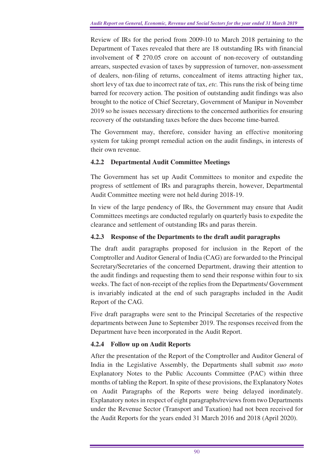Review of IRs for the period from 2009-10 to March 2018 pertaining to the Department of Taxes revealed that there are 18 outstanding IRs with financial involvement of  $\bar{\tau}$  270.05 crore on account of non-recovery of outstanding arrears, suspected evasion of taxes by suppression of turnover, non-assessment of dealers, non-filing of returns, concealment of items attracting higher tax, short levy of tax due to incorrect rate of tax, *etc.* This runs the risk of being time barred for recovery action. The position of outstanding audit findings was also brought to the notice of Chief Secretary, Government of Manipur in November 2019 so he issues necessary directions to the concerned authorities for ensuring recovery of the outstanding taxes before the dues become time-barred.

The Government may, therefore, consider having an effective monitoring system for taking prompt remedial action on the audit findings, in interests of their own revenue.

## **4.2.2 Departmental Audit Committee Meetings**

The Government has set up Audit Committees to monitor and expedite the progress of settlement of IRs and paragraphs therein, however, Departmental Audit Committee meeting were not held during 2018-19.

In view of the large pendency of IRs, the Government may ensure that Audit Committees meetings are conducted regularly on quarterly basis to expedite the clearance and settlement of outstanding IRs and paras therein.

## **4.2.3 Response of the Departments to the draft audit paragraphs**

The draft audit paragraphs proposed for inclusion in the Report of the Comptroller and Auditor General of India (CAG) are forwarded to the Principal Secretary/Secretaries of the concerned Department, drawing their attention to the audit findings and requesting them to send their response within four to six weeks. The fact of non-receipt of the replies from the Departments/ Government is invariably indicated at the end of such paragraphs included in the Audit Report of the CAG.

Five draft paragraphs were sent to the Principal Secretaries of the respective departments between June to September 2019. The responses received from the Department have been incorporated in the Audit Report.

## **4.2.4 Follow up on Audit Reports**

After the presentation of the Report of the Comptroller and Auditor General of India in the Legislative Assembly, the Departments shall submit *suo moto* Explanatory Notes to the Public Accounts Committee (PAC) within three months of tabling the Report. In spite of these provisions, the Explanatory Notes on Audit Paragraphs of the Reports were being delayed inordinately. Explanatory notes in respect of eight paragraphs/reviews from two Departments under the Revenue Sector (Transport and Taxation) had not been received for the Audit Reports for the years ended 31 March 2016 and 2018 (April 2020).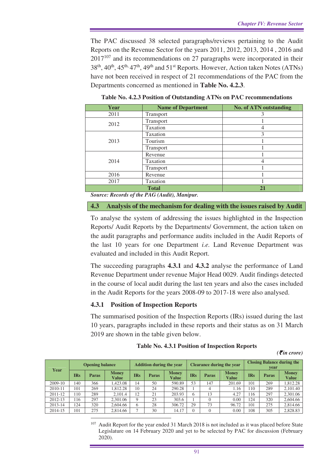The PAC discussed 38 selected paragraphs/reviews pertaining to the Audit Reports on the Revenue Sector for the years 2011, 2012, 2013, 2014 , 2016 and  $2017^{107}$  and its recommendations on 27 paragraphs were incorporated in their  $38<sup>th</sup>$ ,  $40<sup>th</sup>$ ,  $45<sup>th</sup>$ ,  $47<sup>th</sup>$ ,  $49<sup>th</sup>$  and  $51<sup>st</sup>$  Reports. However, Action taken Notes (ATNs) have not been received in respect of 21 recommendations of the PAC from the Departments concerned as mentioned in **Table No. 4.2.3**.

| Year | <b>Name of Department</b> | <b>No. of ATN outstanding</b> |
|------|---------------------------|-------------------------------|
| 2011 | <b>Transport</b>          |                               |
| 2012 | Transport                 |                               |
|      | Taxation                  |                               |
|      | Taxation                  | 3                             |
| 2013 | Tourism                   |                               |
|      | Transport                 |                               |
|      | Revenue                   |                               |
| 2014 | Taxation                  |                               |
|      | Transport                 |                               |
| 2016 | Revenue                   |                               |
| 2017 | Taxation                  |                               |
|      | <b>Total</b>              | 21                            |

**Table No. 4.2.3 Position of Outstanding ATNs on PAC recommendations**

*Source: Records of the PAG (Audit), Manipur.* 

**4.3 Analysis of the mechanism for dealing with the issues raised by Audit** 

To analyse the system of addressing the issues highlighted in the Inspection Reports/ Audit Reports by the Departments/ Government, the action taken on the audit paragraphs and performance audits included in the Audit Reports of the last 10 years for one Department *i.e.* Land Revenue Department was evaluated and included in this Audit Report.

The succeeding paragraphs **4.3.1** and **4.3.2** analyse the performance of Land Revenue Department under revenue Major Head 0029. Audit findings detected in the course of local audit during the last ten years and also the cases included in the Audit Reports for the years 2008-09 to 2017-18 were also analysed.

#### **4.3.1 Position of Inspection Reports**

The summarised position of the Inspection Reports (IRs) issued during the last 10 years, paragraphs included in these reports and their status as on 31 March 2019 are shown in the table given below.

|  |  |  |  |  |  | Table No. 4.3.1 Position of Inspection Reports |
|--|--|--|--|--|--|------------------------------------------------|
|--|--|--|--|--|--|------------------------------------------------|

*(*` *in crore)* 

| Year    | <b>Opening balance</b> |              |                       | <b>Addition during the year</b> |              |                       | <b>Clearance during the year</b> |       |                       | <b>Closing Balance during the</b><br>vear |       |                       |
|---------|------------------------|--------------|-----------------------|---------------------------------|--------------|-----------------------|----------------------------------|-------|-----------------------|-------------------------------------------|-------|-----------------------|
|         | <b>IRs</b>             | <b>Paras</b> | <b>Money</b><br>Value | <b>IRs</b>                      | <b>Paras</b> | <b>Money</b><br>Value | <b>IRs</b>                       | Paras | <b>Money</b><br>Value | <b>IRs</b>                                | Paras | <b>Money</b><br>Value |
| 2009-10 | .40                    | 366          | 1.423.08              | 14                              | 50           | 590.89                | 53                               | 147   | 201.69                | 101                                       | 269   | .812.28               |
| 2010-11 | 101                    | 269          | .812.28               | 10                              | 24           | 290.28                |                                  |       | 1.16                  | 110                                       | 289   | 2,101.40              |
| 2011-12 | 10                     | 289          | 2.101.4               | 12                              | 21           | 203.93                | h                                | 13    | 4.27                  | 116                                       | 297   | 2,301.06              |
| 2012-13 | 16                     | 297          | 2,301.06              | $\mathbf Q$                     | 23           | 303.6                 |                                  |       | 0.00                  | 124                                       | 320   | 2,604.66              |
| 2013-14 | 124                    | 320          | 2.604.66              | 6                               | 28           | 306.72                | 29                               | 73    | 96.72                 | 101                                       | 275   | 2,814.66              |
| 2014-15 | 101                    | 275          | 2.814.66              | −                               | 30           | 14.17                 |                                  |       | 0.00                  | 108                                       | 305   | 2,828.83              |

 $\overline{a}$ <sup>107</sup> Audit Report for the year ended 31 March 2018 is not included as it was placed before State Legislature on 14 February 2020 and yet to be selected by PAC for discussion (February 2020).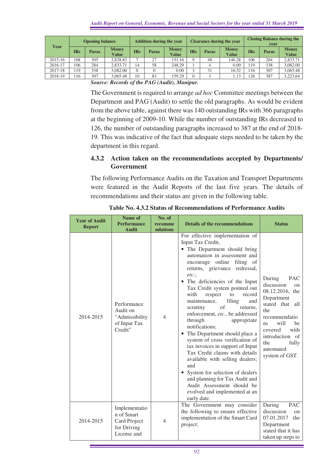| Year    |     | <b>Opening balance</b> |                       | <b>Addition during the year</b> |              |                       |            |              | <b>Clearance during the year</b> | <b>Closing Balance during the</b><br>vear |              |                              |
|---------|-----|------------------------|-----------------------|---------------------------------|--------------|-----------------------|------------|--------------|----------------------------------|-------------------------------------------|--------------|------------------------------|
|         | IRs | <b>Paras</b>           | <b>Money</b><br>Value | <b>IRs</b>                      | <b>Paras</b> | <b>Money</b><br>Value | <b>IRs</b> | <b>Paras</b> | <b>Money</b><br>Value            | <b>IRs</b>                                | <b>Paras</b> | <b>Money</b><br><b>Value</b> |
| 2015-16 | 108 | 305                    | 2.828.83              | $\overline{ }$                  | 27           | 151.16                |            | 48           | 146.28                           | 106                                       | 284          | 2,833.71                     |
| 2016-17 | 106 | 284                    | 2,833.71              | 14                              | 58           | 248.29                |            |              | 0.00                             | 119                                       | 338          | 3,082.00                     |
| 2017-18 | 19  | 338                    | 3.082.00              |                                 |              | 0.00                  |            | 31           | 16.52                            | 116                                       | 307          | 3,065.48                     |
| 2018-19 | 16  | 307                    | 3.065.48              | 10                              | 83           | 159.29                |            |              | 1.13                             | 26                                        | 387          | 3.223.64                     |

*Source: Records of the PAG (Audit), Manipur.* 

The Government is required to arrange *ad hoc* Committee meetings between the Department and PAG (Audit) to settle the old paragraphs. As would be evident from the above table, against there was 140 outstanding IRs with 366 paragraphs at the beginning of 2009-10. While the number of outstanding IRs decreased to 126, the number of outstanding paragraphs increased to 387 at the end of 2018- 19. This was indicative of the fact that adequate steps needed to be taken by the department in this regard.

## **4.3.2 Action taken on the recommendations accepted by Departments/ Government**

The following Performance Audits on the Taxation and Transport Departments were featured in the Audit Reports of the last five years. The details of recommendations and their status are given in the following table.

| <b>Year of Audit</b><br><b>Report</b> | Name of<br><b>Performance</b><br><b>Audit</b>                             | No. of<br>recomme<br>ndations | <b>Details of the recommendations</b>                                                                                                                                                                                                                                                                                                                                                                                                                                                                                                                                                                                                                                                                                                                                                                  | <b>Status</b>                                                                                                                                                                                                                    |
|---------------------------------------|---------------------------------------------------------------------------|-------------------------------|--------------------------------------------------------------------------------------------------------------------------------------------------------------------------------------------------------------------------------------------------------------------------------------------------------------------------------------------------------------------------------------------------------------------------------------------------------------------------------------------------------------------------------------------------------------------------------------------------------------------------------------------------------------------------------------------------------------------------------------------------------------------------------------------------------|----------------------------------------------------------------------------------------------------------------------------------------------------------------------------------------------------------------------------------|
| 2014-2015                             | Performance<br>Audit on<br>"Admissibility<br>of Input Tax<br>Credit"      | $\overline{4}$                | For effective implementation of<br>Input Tax Credit,<br>• The Department should bring<br>automation in assessment and<br>encourage online filing of<br>returns, grievance redressal,<br>$etc.$ ;<br>• The deficiencies of the Input<br>Tax Credit system pointed out<br>with<br>respect<br>to<br>record<br>maintenance,<br>filing<br>and<br>scrutiny<br>$\sigma$ f<br>returns,<br>enforcement, etc., be addressed<br>through<br>appropriate<br>notifications;<br>• The Department should place a<br>system of cross verification of<br>tax invoices in support of Input<br>Tax Credit claims with details<br>available with selling dealers;<br>and<br>System for selection of dealers<br>and planning for Tax Audit and<br>Audit Assessment should be<br>evolved and implemented at an<br>early date. | During<br><b>PAC</b><br>discussion<br>on<br>08.12.2016, the<br>Department<br>stated that<br>all<br>the<br>recommendatio<br>will<br>be<br>ns<br>with<br>covered<br>introduction of<br>fully<br>the<br>automated<br>system of GST. |
| 2014-2015                             | Implementatio<br>n of Smart<br>Card Project<br>for Driving<br>License and | $\overline{4}$                | The Government may consider<br>the following to ensure effective<br>implementation of the Smart Card<br>project:                                                                                                                                                                                                                                                                                                                                                                                                                                                                                                                                                                                                                                                                                       | During<br><b>PAC</b><br>discussion<br>on<br>07.01.2017<br>the<br>Department<br>stated that it has<br>taken up steps to                                                                                                           |

**Table No. 4.3.2 Status of Recommendations of Performance Audits**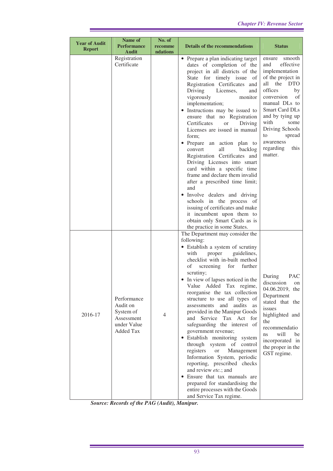| <b>Year of Audit</b><br><b>Report</b> | Name of<br><b>Performance</b><br><b>Audit</b>                                         | No. of<br>recomme<br>ndations | <b>Details of the recommendations</b>                                                                                                                                                                                                                                                                                                                                                                                                                                                                                                                                                                                                                                                                                                                                                                                                  | <b>Status</b>                                                                                                                                                                                                                                                                                |
|---------------------------------------|---------------------------------------------------------------------------------------|-------------------------------|----------------------------------------------------------------------------------------------------------------------------------------------------------------------------------------------------------------------------------------------------------------------------------------------------------------------------------------------------------------------------------------------------------------------------------------------------------------------------------------------------------------------------------------------------------------------------------------------------------------------------------------------------------------------------------------------------------------------------------------------------------------------------------------------------------------------------------------|----------------------------------------------------------------------------------------------------------------------------------------------------------------------------------------------------------------------------------------------------------------------------------------------|
|                                       | Registration<br>Certificate                                                           |                               | • Prepare a plan indicating target<br>dates of completion of the<br>project in all districts of the<br>State for timely issue of<br>Registration Certificates and<br>Driving<br>Licenses,<br>and<br>vigorously<br>monitor<br>implementation;<br>• Instructions may be issued to<br>ensure that no Registration<br>Certificates<br>Driving<br><b>or</b><br>Licenses are issued in manual<br>form;<br>• Prepare an action plan to<br>convert<br>all<br>backlog<br>Registration Certificates and<br>Driving Licenses into smart<br>card within a specific time<br>frame and declare them invalid<br>after a prescribed time limit;<br>and<br>• Involve dealers and driving<br>schools in the process of<br>issuing of certificates and make<br>it incumbent upon them to<br>obtain only Smart Cards as is<br>the practice in some States. | smooth<br>ensure<br>effective<br>and<br>implementation<br>of the project in<br>all the DTO<br>offices<br>by<br>conversion<br>of<br>manual DLs to<br><b>Smart Card DLs</b><br>and by tying up<br>with<br>some<br>Driving Schools<br>to<br>spread<br>awareness<br>regarding<br>this<br>matter. |
| 2016-17                               | Performance<br>Audit on<br>System of<br>Assessment<br>under Value<br><b>Added Tax</b> | 4                             | The Department may consider the<br>following:<br>• Establish a system of scrutiny<br>guidelines,<br>with<br>proper<br>checklist with in-built method<br>of screening for further<br>scrutiny;<br>• In view of lapses noticed in the<br>Value Added Tax regime,<br>reorganise the tax collection<br>structure to use all types of<br>assessments and audits<br>as<br>provided in the Manipur Goods<br>and Service Tax Act for<br>safeguarding the interest of<br>government revenue;<br>· Establish monitoring system<br>through system of control<br>registers<br><sub>or</sub><br>Management<br>Information System, periodic<br>reporting, prescribed checks<br>and review etc.; and<br>• Ensure that tax manuals are<br>prepared for standardising the<br>entire processes with the Goods<br>and Service Tax regime.                 | During<br><b>PAC</b><br>discussion<br>on<br>04.06.2019, the<br>Department<br>stated that the<br>issues<br>highlighted and<br>the<br>recommendatio<br>will<br>ns<br>be<br>incorporated in<br>the proper in the<br>GST regime.                                                                 |

*Source: Records of the PAG (Audit), Manipur.* 

Ľ,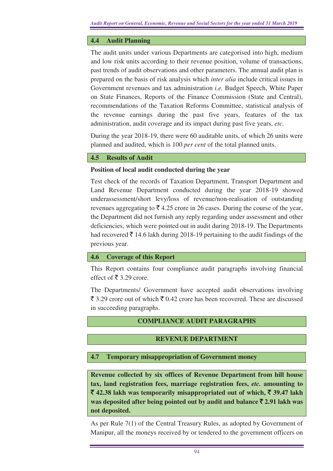### **4.4 Audit Planning**

The audit units under various Departments are categorised into high, medium and low risk units according to their revenue position, volume of transactions, past trends of audit observations and other parameters. The annual audit plan is prepared on the basis of risk analysis which *inter alia* include critical issues in Government revenues and tax administration *i.e.* Budget Speech, White Paper on State Finances, Reports of the Finance Commission (State and Central), recommendations of the Taxation Reforms Committee, statistical analysis of the revenue earnings during the past five years, features of the tax administration, audit coverage and its impact during past five years, *etc.* 

During the year 2018-19, there were 60 auditable units, of which 26 units were planned and audited, which is 100 *per cent* of the total planned units.

### **4.5 Results of Audit**

#### **Position of local audit conducted during the year**

Test check of the records of Taxation Department, Transport Department and Land Revenue Department conducted during the year 2018-19 showed underassessment/short levy/loss of revenue/non-realisation of outstanding revenues aggregating to  $\bar{\mathcal{F}}$  4.25 crore in 26 cases. During the course of the year, the Department did not furnish any reply regarding under assessment and other deficiencies, which were pointed out in audit during 2018-19. The Departments had recovered  $\bar{\bar{\tau}}$  14.6 lakh during 2018-19 pertaining to the audit findings of the previous year.

#### **4.6 Coverage of this Report**

This Report contains four compliance audit paragraphs involving financial effect of  $\bar{\bar{\xi}}$  3.29 crore.

The Departments/ Government have accepted audit observations involving  $\bar{\xi}$  3.29 crore out of which  $\bar{\xi}$  0.42 crore has been recovered. These are discussed in succeeding paragraphs.

## **COMPLIANCE AUDIT PARAGRAPHS**

## **REVENUE DEPARTMENT**

#### **4.7 Temporary misappropriation of Government money**

**Revenue collected by six offices of Revenue Department from hill house tax, land registration fees, marriage registration fees,** *etc.* **amounting to**  ` **42.38 lakh was temporarily misappropriated out of which,** ` **39.47 lakh was deposited after being pointed out by audit and balance** ` **2.91 lakh was not deposited.** 

As per Rule 7(1) of the Central Treasury Rules, as adopted by Government of Manipur, all the moneys received by or tendered to the government officers on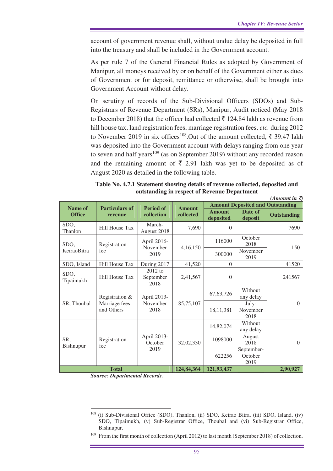account of government revenue shall, without undue delay be deposited in full into the treasury and shall be included in the Government account.

As per rule 7 of the General Financial Rules as adopted by Government of Manipur, all moneys received by or on behalf of the Government either as dues of Government or for deposit, remittance or otherwise, shall be brought into Government Account without delay.

On scrutiny of records of the Sub-Divisional Officers (SDOs) and Sub-Registrars of Revenue Department (SRs), Manipur, Audit noticed (May 2018 to December 2018) that the officer had collected  $\bar{\tau}$  124.84 lakh as revenue from hill house tax, land registration fees, marriage registration fees, *etc.* during 2012 to November 2019 in six offices<sup>108</sup>.Out of the amount collected,  $\bar{\tau}$  39.47 lakh was deposited into the Government account with delays ranging from one year to seven and half years<sup>109</sup> (as on September 2019) without any recorded reason and the remaining amount of  $\bar{\tau}$  2.91 lakh was yet to be deposited as of August 2020 as detailed in the following table.

**Table No. 4.7.1 Statement showing details of revenue collected, deposited and outstanding in respect of Revenue Department** 

| (Amount in $\bar{z}$    |                             |                                 |               |                            |                                         |                    |  |  |
|-------------------------|-----------------------------|---------------------------------|---------------|----------------------------|-----------------------------------------|--------------------|--|--|
| Name of                 | <b>Particulars of</b>       | <b>Period of</b>                | <b>Amount</b> |                            | <b>Amount Deposited and Outstanding</b> |                    |  |  |
| <b>Office</b>           | revenue                     | collection                      | collected     | <b>Amount</b><br>deposited | Date of<br>deposit                      | <b>Outstanding</b> |  |  |
| SDO,<br>Thanlon         | <b>Hill House Tax</b>       | March-<br>August 2018           | 7,690         | $\Omega$                   |                                         | 7690               |  |  |
| SDO,                    | Registration                | April 2016-<br>November<br>2019 | 4,16,150      | 116000                     | October<br>2018                         | 150                |  |  |
| KeiraoBitra             | fee                         |                                 |               | 300000                     | November<br>2019                        |                    |  |  |
| SDO, Island             | Hill House Tax              | During 2017                     | 41,520        | $\Omega$                   |                                         | 41520              |  |  |
| SDO,<br>Tipaimukh       | Hill House Tax              | $2012$ to<br>September<br>2018  | 2,41,567      | $\Omega$                   |                                         | 241567             |  |  |
|                         | Registration &              | April 2013-                     |               | 67, 63, 726                | Without<br>any delay                    |                    |  |  |
| SR, Thoubal             | Marriage fees<br>and Others | November<br>2018                | 85,75,107     | 18,11,381                  | July-<br>November<br>2018               | $\Omega$           |  |  |
|                         |                             |                                 |               | 14,82,074                  | Without<br>any delay                    |                    |  |  |
| SR,<br><b>Bishnupur</b> | Registration<br>fee         | April 2013-<br>October<br>2019  | 32,02,330     | 1098000                    | August<br>2018                          | $\Omega$           |  |  |
|                         |                             |                                 |               | 622256                     | September-<br>October<br>2019           |                    |  |  |
|                         | <b>Total</b>                |                                 | 124,84,364    | 121,93,437                 |                                         | 2,90,927           |  |  |

*Source: Departmental Records.* 

 $\overline{a}$ 

<sup>108</sup> (i) Sub-Divisional Office (SDO), Thanlon, (ii) SDO, Keirao Bitra, (iii) SDO, Island, (iv) SDO, Tipaimukh, (v) Sub-Registrar Office, Thoubal and (vi) Sub-Registrar Office, Bishnupur.

<sup>&</sup>lt;sup>109</sup> From the first month of collection (April 2012) to last month (September 2018) of collection.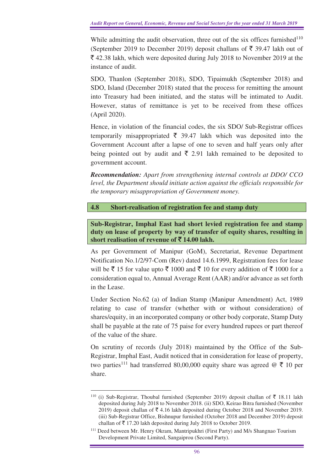While admitting the audit observation, three out of the six offices furnished $110$ (September 2019 to December 2019) deposit challans of  $\bar{\xi}$  39.47 lakh out of  $\bar{\xi}$  42.38 lakh, which were deposited during July 2018 to November 2019 at the instance of audit.

SDO, Thanlon (September 2018), SDO, Tipaimukh (September 2018) and SDO, Island (December 2018) stated that the process for remitting the amount into Treasury had been initiated, and the status will be intimated to Audit. However, status of remittance is yet to be received from these offices (April 2020).

Hence, in violation of the financial codes, the six SDO/ Sub-Registrar offices temporarily misappropriated  $\bar{\tau}$  39.47 lakh which was deposited into the Government Account after a lapse of one to seven and half years only after being pointed out by audit and  $\bar{\xi}$  2.91 lakh remained to be deposited to government account.

*Recommendation: Apart from strengthening internal controls at DDO/ CCO level, the Department should initiate action against the officials responsible for the temporary misappropriation of Government money.*

#### **4.8 Short-realisation of registration fee and stamp duty**

**Sub-Registrar, Imphal East had short levied registration fee and stamp duty on lease of property by way of transfer of equity shares, resulting in short realisation of revenue of** ` **14.00 lakh.** 

As per Government of Manipur (GoM), Secretariat, Revenue Department Notification No.1/2/97-Com (Rev) dated 14.6.1999, Registration fees for lease will be  $\bar{\tau}$  15 for value upto  $\bar{\tau}$  1000 and  $\bar{\tau}$  10 for every addition of  $\bar{\tau}$  1000 for a consideration equal to, Annual Average Rent (AAR) and/or advance as set forth in the Lease.

Under Section No.62 (a) of Indian Stamp (Manipur Amendment) Act, 1989 relating to case of transfer (whether with or without consideration) of shares/equity, in an incorporated company or other body corporate, Stamp Duty shall be payable at the rate of 75 paise for every hundred rupees or part thereof of the value of the share.

On scrutiny of records (July 2018) maintained by the Office of the Sub-Registrar, Imphal East, Audit noticed that in consideration for lease of property, two parties<sup>111</sup> had transferred 80,00,000 equity share was agreed  $\mathcal{Q} \bar{\tau}$  10 per share.

 $\overline{a}$ <sup>110</sup> (i) Sub-Registrar, Thoubal furnished (September 2019) deposit challan of  $\bar{\mathfrak{F}}$  18.11 lakh deposited during July 2018 to November 2018. (ii) SDO, Keirao Bitra furnished (November 2019) deposit challan of  $\bar{\mathcal{F}}$  4.16 lakh deposited during October 2018 and November 2019. (iii) Sub-Registrar Office, Bishnupur furnished (October 2018 and December 2019) deposit challan of  $\bar{\tau}$  17.20 lakh deposited during July 2018 to October 2019.

<sup>111</sup> Deed between Mr. Henry Okram, Mantripukhri (First Party) and M/s Shangnao Tourism Development Private Limited, Sangaiprou (Second Party).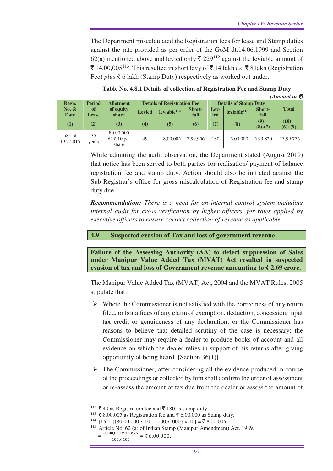The Department miscalculated the Registration fees for lease and Stamp duties against the rate provided as per order of the GoM dt.14.06.1999 and Section 62(a) mentioned above and levied only  $\bar{\xi}$  229<sup>112</sup> against the leviable amount of ₹ 14,00,005<sup>113</sup>. This resulted in short levy of ₹ 14 lakh *i.e.* ₹ 8 lakh (Registration Fee) *plus* ₹ 6 lakh (Stamp Duty) respectively as worked out under.

| (Amount in $\bar{z}$ ) |                                   |                  |               |                                    |               |      |                              |               |              |
|------------------------|-----------------------------------|------------------|---------------|------------------------------------|---------------|------|------------------------------|---------------|--------------|
| Regn.                  | <b>Period</b><br><b>Allotment</b> |                  |               | <b>Details of Registration Fee</b> |               |      | <b>Details of Stamp Duty</b> |               |              |
| No. $\&$               | of                                | of equity        | <b>Levied</b> | leviable <sup>114</sup>            | <b>Short-</b> | Lev- | leviable <sup>115</sup>      | <b>Short-</b> | <b>Total</b> |
| <b>Date</b>            | <b>Lease</b>                      | share            |               |                                    | fall          | ied  |                              | fall          |              |
| $\left(1\right)$       | (2)                               | (3)              | (4)           | (5)                                | (6)           | (7)  | (8)                          | $(9) =$       | $(10) =$     |
|                        |                                   |                  |               |                                    |               |      |                              | $(8)-(7)$     | $(6)+(9)$    |
| 581 of                 | 35                                | 80,00,000        |               |                                    |               |      |                              |               |              |
| 19.2.2015              | years                             | $@ \t{3} 10$ per | 49            | 8,00,005                           | 7.99.956      | 180  | 6.00.000                     | 5,99,820      | 13,99,776    |
|                        |                                   | share            |               |                                    |               |      |                              |               |              |

**Table No. 4.8.1 Details of collection of Registration Fee and Stamp Duty**

While admitting the audit observation, the Department stated (August 2019) that notice has been served to both parties for realisation/ payment of balance registration fee and stamp duty. Action should also be initiated against the Sub-Registrar's office for gross miscalculation of Registration fee and stamp duty due.

*Recommendation: There is a need for an internal control system including internal audit for cross verification by higher officers, for rates applied by executive officers to ensure correct collection of revenue as applicable.* 

#### **4.9 Suspected evasion of Tax and loss of government revenue**

**Failure of the Assessing Authority (AA) to detect suppression of Sales under Manipur Value Added Tax (MVAT) Act resulted in suspected evasion of tax and loss of Government revenue amounting to**  $\bar{\mathbf{z}}$  **2.69 crore.** 

The Manipur Value Added Tax (MVAT) Act, 2004 and the MVAT Rules, 2005 stipulate that:

- $\triangleright$  Where the Commissioner is not satisfied with the correctness of any return filed, or bona fides of any claim of exemption, deduction, concession, input tax credit or genuineness of any declaration; or the Commissioner has reasons to believe that detailed scrutiny of the case is necessary; the Commissioner may require a dealer to produce books of account and all evidence on which the dealer relies in support of his returns after giving opportunity of being heard. [Section 36(1)]
- $\triangleright$  The Commissioner, after considering all the evidence produced in course of the proceedings or collected by him shall confirm the order of assessment or re-assess the amount of tax due from the dealer or assess the amount of

 $\overline{a}$ 

<sup>&</sup>lt;sup>112</sup>  $\bar{\mathbf{\xi}}$  49 as Registration fee and  $\bar{\mathbf{\xi}}$  180 as stamp duty.

<sup>&</sup>lt;sup>113</sup>  $\bar{\tau}$  8,00,005 as Registration fee and  $\bar{\tau}$  6,00,000 as Stamp duty.

 $114$  [15 + {(80,00,000 x 10 - 1000)/1000} x 10] =  $\overline{z}$  8,00,005.

Article No. 62 (a) of Indian Stamp (Manipur Amendment) Act, 1989.

 $=\frac{80,00,000 \times 10 \times 75}{100 \times 100} = 26,00,000.$  $100 x 100$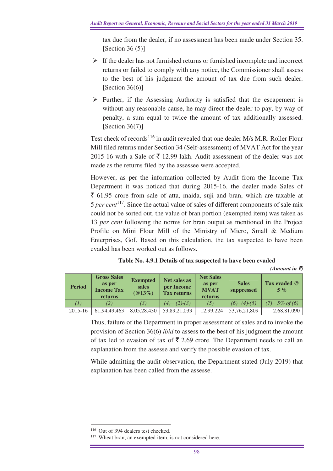tax due from the dealer, if no assessment has been made under Section 35. [Section  $36(5)$ ]

- $\triangleright$  If the dealer has not furnished returns or furnished incomplete and incorrect returns or failed to comply with any notice, the Commissioner shall assess to the best of his judgment the amount of tax due from such dealer. [Section 36(6)]
- $\triangleright$  Further, if the Assessing Authority is satisfied that the escapement is without any reasonable cause, he may direct the dealer to pay, by way of penalty, a sum equal to twice the amount of tax additionally assessed. [Section  $36(7)$ ]

Test check of records<sup>116</sup> in audit revealed that one dealer M/s M.R. Roller Flour Mill filed returns under Section 34 (Self-assessment) of MVAT Act for the year 2015-16 with a Sale of  $\bar{\mathfrak{S}}$  12.99 lakh. Audit assessment of the dealer was not made as the returns filed by the assessee were accepted.

However, as per the information collected by Audit from the Income Tax Department it was noticed that during 2015-16, the dealer made Sales of  $\bar{\xi}$  61.95 crore from sale of atta, maida, suji and bran, which are taxable at 5 *per cent*<sup>117</sup>. Since the actual value of sales of different components of sale mix could not be sorted out, the value of bran portion (exempted item) was taken as 13 *per cent* following the norms for bran output as mentioned in the Project Profile on Mini Flour Mill of the Ministry of Micro, Small & Medium Enterprises, GoI. Based on this calculation, the tax suspected to have been evaded has been worked out as follows.

| Table No. 4.9.1 Details of tax suspected to have been evaded |  |  |
|--------------------------------------------------------------|--|--|
|--------------------------------------------------------------|--|--|

 $(A$ *mount in*  $\bar{Q}$ 

| <b>Period</b> | <b>Gross Sales</b><br>as per<br><b>Income Tax</b><br>returns | <b>Exempted</b><br>sales<br>$(@13\%)$ | Net sales as<br>per Income<br><b>Tax returns</b> | <b>Net Sales</b><br>as per<br><b>MVAT</b><br>returns | <b>Sales</b><br>suppressed | Tax evaded @<br>$5 \%$ |
|---------------|--------------------------------------------------------------|---------------------------------------|--------------------------------------------------|------------------------------------------------------|----------------------------|------------------------|
| (I)           | (2)                                                          | (3)                                   | $(4) = (2)-(3)$                                  | (5)                                                  | $(6)=(4)-(5)$              | $(7)=5\%$ of (6)       |
| $2015 - 16$   | 61.94.49.463                                                 | 8.05.28.430                           | 53,89,21,033                                     | 12,99,224                                            | 53,76,21,809               | 2,68,81,090            |

Thus, failure of the Department in proper assessment of sales and to invoke the provision of Section 36(6) *ibid* to assess to the best of his judgment the amount of tax led to evasion of tax of  $\bar{\tau}$  2.69 crore. The Department needs to call an explanation from the assesse and verify the possible evasion of tax.

While admitting the audit observation, the Department stated (July 2019) that explanation has been called from the assesse.

 $\overline{a}$ <sup>116</sup> Out of 394 dealers test checked.

<sup>&</sup>lt;sup>117</sup> Wheat bran, an exempted item, is not considered here.